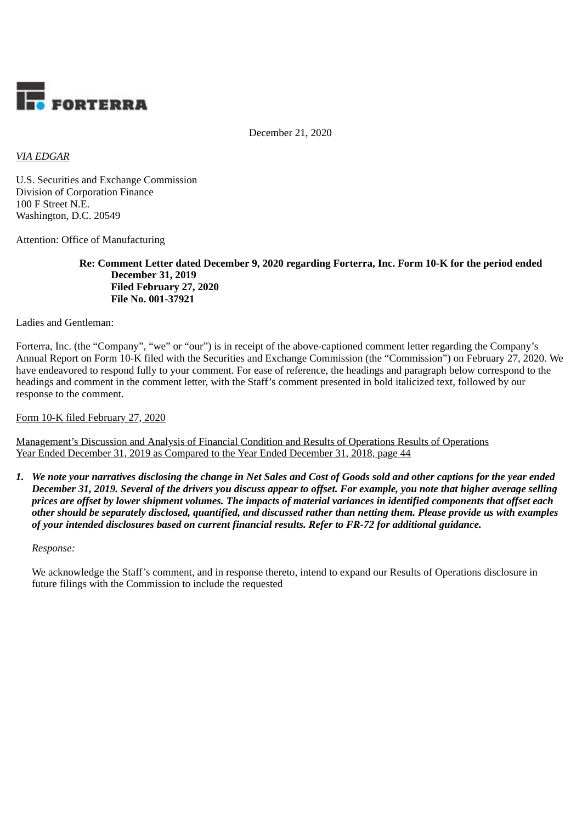

December 21, 2020

# *VIA EDGAR*

U.S. Securities and Exchange Commission Division of Corporation Finance 100 F Street N.E. Washington, D.C. 20549

Attention: Office of Manufacturing

**Re: Comment Letter dated December 9, 2020 regarding Forterra, Inc. Form 10-K for the period ended December 31, 2019 Filed February 27, 2020 File No. 001-37921**

Ladies and Gentleman:

Forterra, Inc. (the "Company", "we" or "our") is in receipt of the above-captioned comment letter regarding the Company's Annual Report on Form 10-K filed with the Securities and Exchange Commission (the "Commission") on February 27, 2020. We have endeavored to respond fully to your comment. For ease of reference, the headings and paragraph below correspond to the headings and comment in the comment letter, with the Staff's comment presented in bold italicized text, followed by our response to the comment.

Form 10-K filed February 27, 2020

Management's Discussion and Analysis of Financial Condition and Results of Operations Results of Operations Year Ended December 31, 2019 as Compared to the Year Ended December 31, 2018, page 44

*1. We note your narratives disclosing the change in Net Sales and Cost of Goods sold and other captions for the year ended December 31, 2019. Several of the drivers you discuss appear to offset. For example, you note that higher average selling prices are offset by lower shipment volumes. The impacts of material variances in identified components that offset each other should be separately disclosed, quantified, and discussed rather than netting them. Please provide us with examples of your intended disclosures based on current financial results. Refer to FR-72 for additional guidance.*

*Response:*

We acknowledge the Staff's comment, and in response thereto, intend to expand our Results of Operations disclosure in future filings with the Commission to include the requested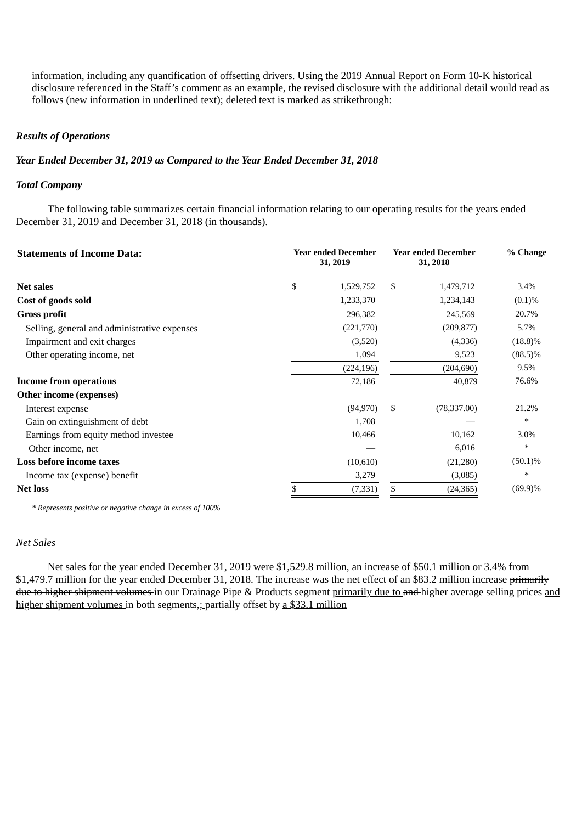information, including any quantification of offsetting drivers. Using the 2019 Annual Report on Form 10-K historical disclosure referenced in the Staff's comment as an example, the revised disclosure with the additional detail would read as follows (new information in underlined text); deleted text is marked as strikethrough:

## *Results of Operations*

### *Year Ended December 31, 2019 as Compared to the Year Ended December 31, 2018*

### *Total Company*

The following table summarizes certain financial information relating to our operating results for the years ended December 31, 2019 and December 31, 2018 (in thousands).

| <b>Statements of Income Data:</b>            | <b>Year ended December</b><br>31, 2019 |            | <b>Year ended December</b><br>31, 2018 |              | % Change   |
|----------------------------------------------|----------------------------------------|------------|----------------------------------------|--------------|------------|
| <b>Net sales</b>                             | \$                                     | 1,529,752  | \$                                     | 1,479,712    | 3.4%       |
| Cost of goods sold                           |                                        | 1,233,370  |                                        | 1,234,143    | (0.1)%     |
| <b>Gross profit</b>                          |                                        | 296,382    |                                        | 245,569      | 20.7%      |
| Selling, general and administrative expenses |                                        | (221,770)  |                                        | (209, 877)   | 5.7%       |
| Impairment and exit charges                  |                                        | (3,520)    |                                        | (4,336)      | $(18.8)\%$ |
| Other operating income, net                  |                                        | 1,094      |                                        | 9,523        | $(88.5)\%$ |
|                                              |                                        | (224, 196) |                                        | (204, 690)   | 9.5%       |
| Income from operations                       |                                        | 72,186     |                                        | 40,879       | 76.6%      |
| Other income (expenses)                      |                                        |            |                                        |              |            |
| Interest expense                             |                                        | (94, 970)  | \$                                     | (78, 337.00) | 21.2%      |
| Gain on extinguishment of debt               |                                        | 1,708      |                                        |              | $\ast$     |
| Earnings from equity method investee         |                                        | 10,466     |                                        | 10,162       | 3.0%       |
| Other income, net                            |                                        |            |                                        | 6,016        | $\ast$     |
| Loss before income taxes                     |                                        | (10,610)   |                                        | (21,280)     | $(50.1)\%$ |
| Income tax (expense) benefit                 |                                        | 3,279      |                                        | (3,085)      | ∗          |
| <b>Net loss</b>                              |                                        | (7, 331)   | \$                                     | (24, 365)    | $(69.9)\%$ |

*\* Represents positive or negative change in excess of 100%*

# *Net Sales*

Net sales for the year ended December 31, 2019 were \$1,529.8 million, an increase of \$50.1 million or 3.4% from \$1,479.7 million for the year ended December 31, 2018. The increase was the net effect of an \$83.2 million increase primarily due to higher shipment volumes in our Drainage Pipe & Products segment primarily due to and higher average selling prices and higher shipment volumes in both segments,; partially offset by a \$33.1 million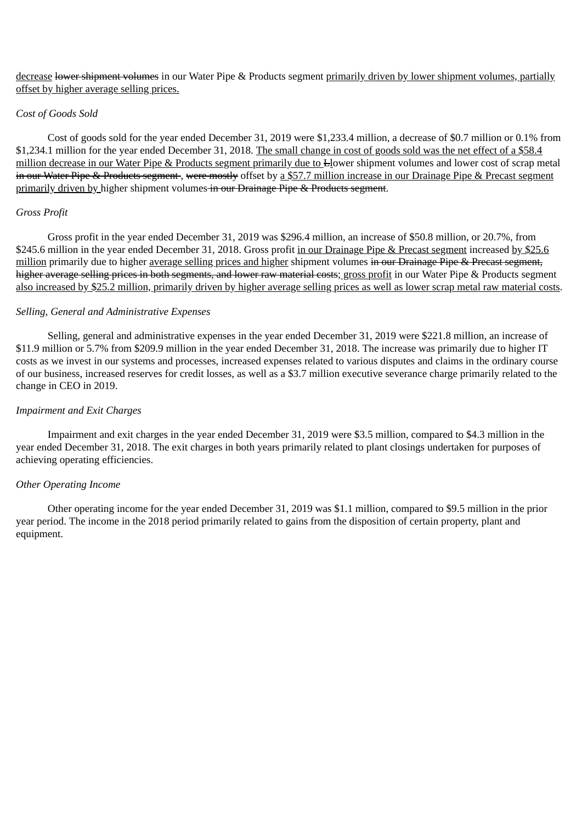decrease lower shipment volumes in our Water Pipe & Products segment primarily driven by lower shipment volumes, partially offset by higher average selling prices.

## *Cost of Goods Sold*

Cost of goods sold for the year ended December 31, 2019 were \$1,233.4 million, a decrease of \$0.7 million or 0.1% from \$1,234.1 million for the year ended December 31, 2018. The small change in cost of goods sold was the net effect of a \$58.4 million decrease in our Water Pipe & Products segment primarily due to <del>L</del>lower shipment volumes and lower cost of scrap metal in our Water Pipe & Products segment, were mostly offset by a \$57.7 million increase in our Drainage Pipe & Precast segment primarily driven by higher shipment volumes in our Drainage Pipe & Products segment.

## *Gross Profit*

Gross profit in the year ended December 31, 2019 was \$296.4 million, an increase of \$50.8 million, or 20.7%, from \$245.6 million in the year ended December 31, 2018. Gross profit in our Drainage Pipe & Precast segment increased by \$25.6 million primarily due to higher average selling prices and higher shipment volumes in our Drainage Pipe & Precast segment, higher average selling prices in both segments, and lower raw material costs; gross profit in our Water Pipe & Products segment also increased by \$25.2 million, primarily driven by higher average selling prices as well as lower scrap metal raw material costs.

### *Selling, General and Administrative Expenses*

Selling, general and administrative expenses in the year ended December 31, 2019 were \$221.8 million, an increase of \$11.9 million or 5.7% from \$209.9 million in the year ended December 31, 2018. The increase was primarily due to higher IT costs as we invest in our systems and processes, increased expenses related to various disputes and claims in the ordinary course of our business, increased reserves for credit losses, as well as a \$3.7 million executive severance charge primarily related to the change in CEO in 2019.

### *Impairment and Exit Charges*

Impairment and exit charges in the year ended December 31, 2019 were \$3.5 million, compared to \$4.3 million in the year ended December 31, 2018. The exit charges in both years primarily related to plant closings undertaken for purposes of achieving operating efficiencies.

# *Other Operating Income*

Other operating income for the year ended December 31, 2019 was \$1.1 million, compared to \$9.5 million in the prior year period. The income in the 2018 period primarily related to gains from the disposition of certain property, plant and equipment.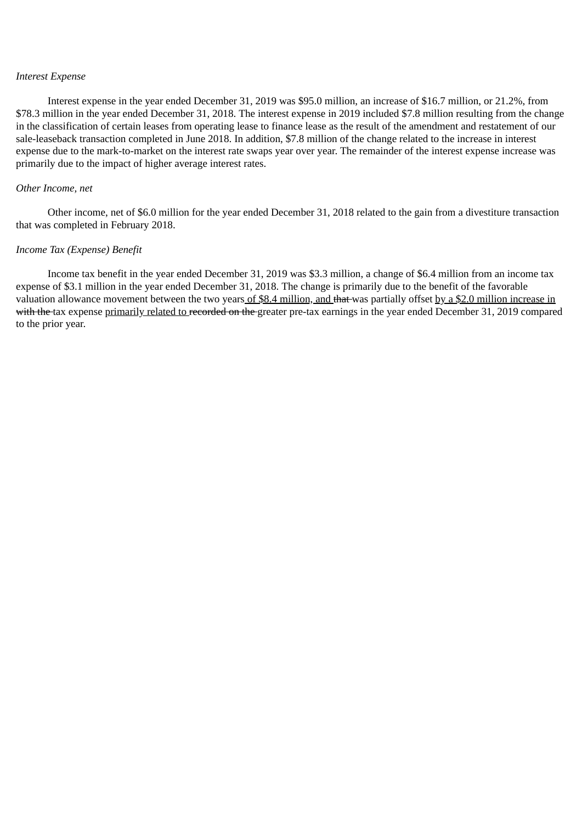#### *Interest Expense*

Interest expense in the year ended December 31, 2019 was \$95.0 million, an increase of \$16.7 million, or 21.2%, from \$78.3 million in the year ended December 31, 2018. The interest expense in 2019 included \$7.8 million resulting from the change in the classification of certain leases from operating lease to finance lease as the result of the amendment and restatement of our sale-leaseback transaction completed in June 2018. In addition, \$7.8 million of the change related to the increase in interest expense due to the mark-to-market on the interest rate swaps year over year. The remainder of the interest expense increase was primarily due to the impact of higher average interest rates.

## *Other Income, net*

Other income, net of \$6.0 million for the year ended December 31, 2018 related to the gain from a divestiture transaction that was completed in February 2018.

### *Income Tax (Expense) Benefit*

Income tax benefit in the year ended December 31, 2019 was \$3.3 million, a change of \$6.4 million from an income tax expense of \$3.1 million in the year ended December 31, 2018. The change is primarily due to the benefit of the favorable valuation allowance movement between the two years of \$8.4 million, and that was partially offset by a \$2.0 million increase in with the tax expense primarily related to recorded on the greater pre-tax earnings in the year ended December 31, 2019 compared to the prior year.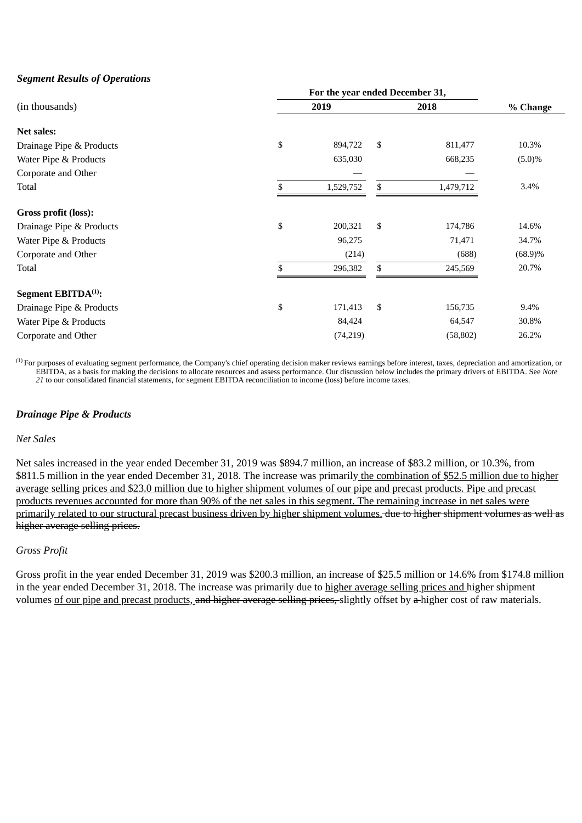# *Segment Results of Operations*

| (in thousands)                  |    | 2019      |    | 2018      | % Change   |
|---------------------------------|----|-----------|----|-----------|------------|
| <b>Net sales:</b>               |    |           |    |           |            |
| Drainage Pipe & Products        | \$ | 894,722   | \$ | 811,477   | 10.3%      |
| Water Pipe & Products           |    | 635,030   |    | 668,235   | $(5.0)\%$  |
| Corporate and Other             |    |           |    |           |            |
| Total                           | \$ | 1,529,752 | \$ | 1,479,712 | 3.4%       |
| Gross profit (loss):            |    |           |    |           |            |
| Drainage Pipe & Products        | \$ | 200,321   | \$ | 174,786   | 14.6%      |
| Water Pipe & Products           |    | 96,275    |    | 71,471    | 34.7%      |
| Corporate and Other             |    | (214)     |    | (688)     | $(68.9)\%$ |
| Total                           |    | 296,382   | \$ | 245,569   | 20.7%      |
| Segment EBITDA <sup>(1)</sup> : |    |           |    |           |            |
| Drainage Pipe & Products        | \$ | 171,413   | \$ | 156,735   | 9.4%       |
| Water Pipe & Products           |    | 84,424    |    | 64,547    | 30.8%      |
| Corporate and Other             |    | (74,219)  |    | (58, 802) | 26.2%      |

 $^{(1)}$  For purposes of evaluating segment performance, the Company's chief operating decision maker reviews earnings before interest, taxes, depreciation and amortization, or EBITDA, as a basis for making the decisions to allocate resources and assess performance. Our discussion below includes the primary drivers of EBITDA. See *Note 21* to our consolidated financial statements, for segment EBITDA reconciliation to income (loss) before income taxes.

# *Drainage Pipe & Products*

### *Net Sales*

Net sales increased in the year ended December 31, 2019 was \$894.7 million, an increase of \$83.2 million, or 10.3%, from \$811.5 million in the year ended December 31, 2018. The increase was primarily the combination of \$52.5 million due to higher average selling prices and \$23.0 million due to higher shipment volumes of our pipe and precast products. Pipe and precast products revenues accounted for more than 90% of the net sales in this segment. The remaining increase in net sales were primarily related to our structural precast business driven by higher shipment volumes. due to higher shipment volumes as well as higher average selling prices.

## *Gross Profit*

Gross profit in the year ended December 31, 2019 was \$200.3 million, an increase of \$25.5 million or 14.6% from \$174.8 million in the year ended December 31, 2018. The increase was primarily due to higher average selling prices and higher shipment volumes of our pipe and precast products, and higher average selling prices, slightly offset by a higher cost of raw materials.